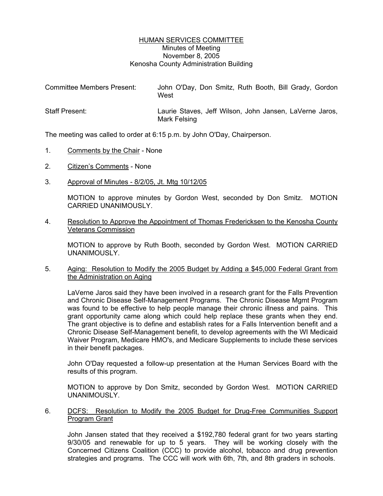## HUMAN SERVICES COMMITTEE Minutes of Meeting November 8, 2005 Kenosha County Administration Building

| <b>Committee Members Present:</b> | John O'Day, Don Smitz, Ruth Booth, Bill Grady, Gordon<br>West           |
|-----------------------------------|-------------------------------------------------------------------------|
| <b>Staff Present:</b>             | Laurie Staves, Jeff Wilson, John Jansen, LaVerne Jaros,<br>Mark Felsing |

The meeting was called to order at 6:15 p.m. by John O'Day, Chairperson.

- 1. Comments by the Chair None
- 2. Citizen's Comments None
- 3. Approval of Minutes 8/2/05, Jt. Mtg 10/12/05

MOTION to approve minutes by Gordon West, seconded by Don Smitz. MOTION CARRIED UNANIMOUSLY.

4. Resolution to Approve the Appointment of Thomas Fredericksen to the Kenosha County Veterans Commission

MOTION to approve by Ruth Booth, seconded by Gordon West. MOTION CARRIED UNANIMOUSLY.

5. Aging: Resolution to Modify the 2005 Budget by Adding a \$45,000 Federal Grant from the Administration on Aging

LaVerne Jaros said they have been involved in a research grant for the Falls Prevention and Chronic Disease Self-Management Programs. The Chronic Disease Mgmt Program was found to be effective to help people manage their chronic illness and pains. This grant opportunity came along which could help replace these grants when they end. The grant objective is to define and establish rates for a Falls Intervention benefit and a Chronic Disease Self-Management benefit, to develop agreements with the WI Medicaid Waiver Program, Medicare HMO's, and Medicare Supplements to include these services in their benefit packages.

John O'Day requested a follow-up presentation at the Human Services Board with the results of this program.

MOTION to approve by Don Smitz, seconded by Gordon West. MOTION CARRIED UNANIMOUSLY.

6. DCFS: Resolution to Modify the 2005 Budget for Drug-Free Communities Support Program Grant

John Jansen stated that they received a \$192,780 federal grant for two years starting 9/30/05 and renewable for up to 5 years. They will be working closely with the Concerned Citizens Coalition (CCC) to provide alcohol, tobacco and drug prevention strategies and programs. The CCC will work with 6th, 7th, and 8th graders in schools.